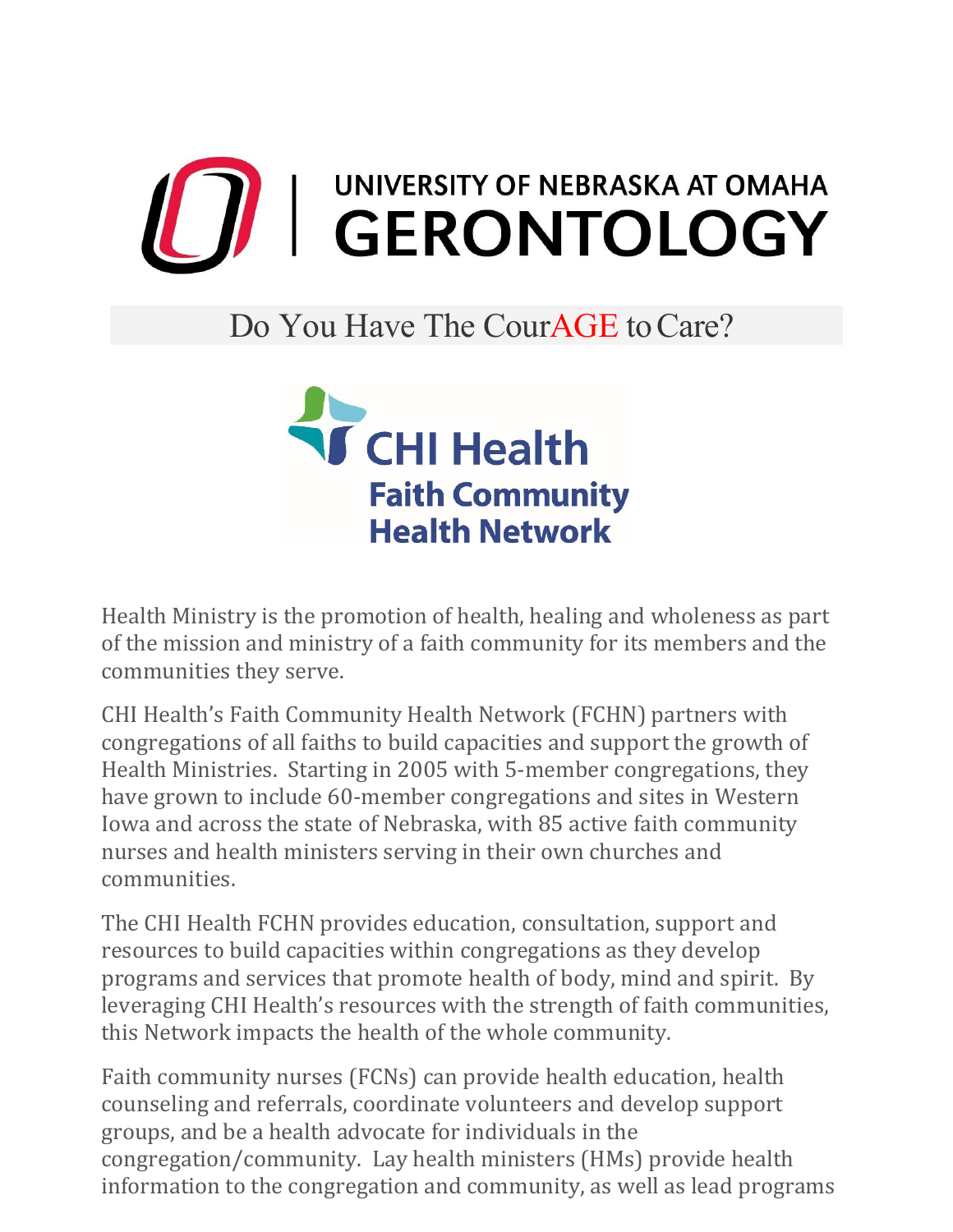

## Do You Have The CourAGE to Care?



Health Ministry is the promotion of health, healing and wholeness as part of the mission and ministry of a faith community for its members and the communities they serve.

CHI Health's Faith Community Health Network (FCHN) partners with congregations of all faiths to build capacities and support the growth of Health Ministries. Starting in 2005 with 5-member congregations, they have grown to include 60-member congregations and sites in Western Iowa and across the state of Nebraska, with 85 active faith community nurses and health ministers serving in their own churches and communities.

The CHI Health FCHN provides education, consultation, support and resources to build capacities within congregations as they develop programs and services that promote health of body, mind and spirit. By leveraging CHI Health's resources with the strength of faith communities, this Network impacts the health of the whole community.

Faith community nurses (FCNs) can provide health education, health counseling and referrals, coordinate volunteers and develop support groups, and be a health advocate for individuals in the congregation/community. Lay health ministers (HMs) provide health information to the congregation and community, as well as lead programs